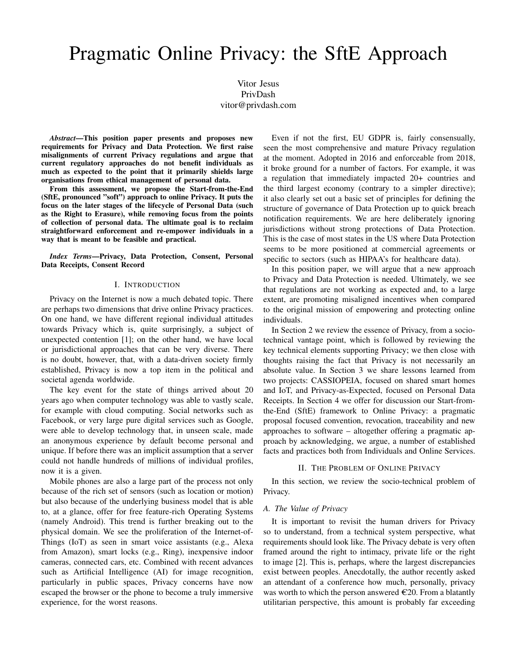# Pragmatic Online Privacy: the SftE Approach

Vitor Jesus PrivDash vitor@privdash.com

*Abstract*—This position paper presents and proposes new requirements for Privacy and Data Protection. We first raise misalignments of current Privacy regulations and argue that current regulatory approaches do not benefit individuals as much as expected to the point that it primarily shields large organisations from ethical management of personal data.

From this assessment, we propose the Start-from-the-End (SftE, pronounced "soft") approach to online Privacy. It puts the focus on the later stages of the lifecycle of Personal Data (such as the Right to Erasure), while removing focus from the points of collection of personal data. The ultimate goal is to reclaim straightforward enforcement and re-empower individuals in a way that is meant to be feasible and practical.

*Index Terms*—Privacy, Data Protection, Consent, Personal Data Receipts, Consent Record

#### I. INTRODUCTION

Privacy on the Internet is now a much debated topic. There are perhaps two dimensions that drive online Privacy practices. On one hand, we have different regional individual attitudes towards Privacy which is, quite surprisingly, a subject of unexpected contention [1]; on the other hand, we have local or jurisdictional approaches that can be very diverse. There is no doubt, however, that, with a data-driven society firmly established, Privacy is now a top item in the political and societal agenda worldwide.

The key event for the state of things arrived about 20 years ago when computer technology was able to vastly scale, for example with cloud computing. Social networks such as Facebook, or very large pure digital services such as Google, were able to develop technology that, in unseen scale, made an anonymous experience by default become personal and unique. If before there was an implicit assumption that a server could not handle hundreds of millions of individual profiles, now it is a given.

Mobile phones are also a large part of the process not only because of the rich set of sensors (such as location or motion) but also because of the underlying business model that is able to, at a glance, offer for free feature-rich Operating Systems (namely Android). This trend is further breaking out to the physical domain. We see the proliferation of the Internet-of-Things (IoT) as seen in smart voice assistants (e.g., Alexa from Amazon), smart locks (e.g., Ring), inexpensive indoor cameras, connected cars, etc. Combined with recent advances such as Artificial Intelligence (AI) for image recognition, particularly in public spaces, Privacy concerns have now escaped the browser or the phone to become a truly immersive experience, for the worst reasons.

Even if not the first, EU GDPR is, fairly consensually, seen the most comprehensive and mature Privacy regulation at the moment. Adopted in 2016 and enforceable from 2018, it broke ground for a number of factors. For example, it was a regulation that immediately impacted 20+ countries and the third largest economy (contrary to a simpler directive); it also clearly set out a basic set of principles for defining the structure of governance of Data Protection up to quick breach notification requirements. We are here deliberately ignoring jurisdictions without strong protections of Data Protection. This is the case of most states in the US where Data Protection seems to be more positioned at commercial agreements or specific to sectors (such as HIPAA's for healthcare data).

In this position paper, we will argue that a new approach to Privacy and Data Protection is needed. Ultimately, we see that regulations are not working as expected and, to a large extent, are promoting misaligned incentives when compared to the original mission of empowering and protecting online individuals.

In Section 2 we review the essence of Privacy, from a sociotechnical vantage point, which is followed by reviewing the key technical elements supporting Privacy; we then close with thoughts raising the fact that Privacy is not necessarily an absolute value. In Section 3 we share lessons learned from two projects: CASSIOPEIA, focused on shared smart homes and IoT, and Privacy-as-Expected, focused on Personal Data Receipts. In Section 4 we offer for discussion our Start-fromthe-End (SftE) framework to Online Privacy: a pragmatic proposal focused convention, revocation, traceability and new approaches to software – altogether offering a pragmatic approach by acknowledging, we argue, a number of established facts and practices both from Individuals and Online Services.

## II. THE PROBLEM OF ONLINE PRIVACY

In this section, we review the socio-technical problem of Privacy.

## *A. The Value of Privacy*

It is important to revisit the human drivers for Privacy so to understand, from a technical system perspective, what requirements should look like. The Privacy debate is very often framed around the right to intimacy, private life or the right to image [2]. This is, perhaps, where the largest discrepancies exist between peoples. Anecdotally, the author recently asked an attendant of a conference how much, personally, privacy was worth to which the person answered  $\epsilon$ 20. From a blatantly utilitarian perspective, this amount is probably far exceeding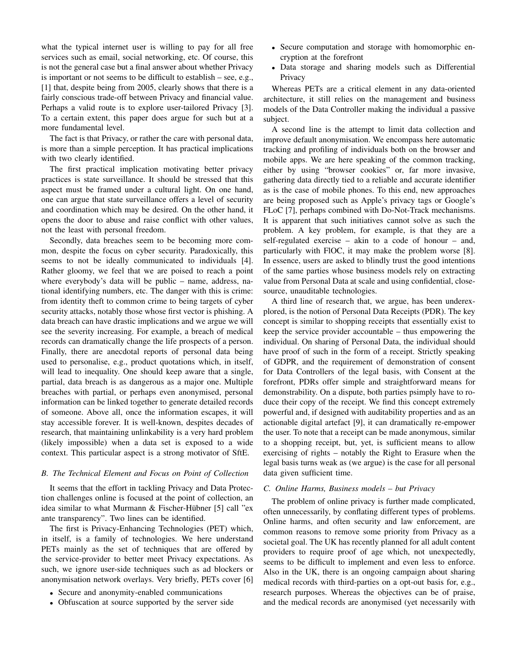what the typical internet user is willing to pay for all free services such as email, social networking, etc. Of course, this is not the general case but a final answer about whether Privacy is important or not seems to be difficult to establish – see, e.g., [1] that, despite being from 2005, clearly shows that there is a fairly conscious trade-off between Privacy and financial value. Perhaps a valid route is to explore user-tailored Privacy [3]. To a certain extent, this paper does argue for such but at a more fundamental level.

The fact is that Privacy, or rather the care with personal data, is more than a simple perception. It has practical implications with two clearly identified.

The first practical implication motivating better privacy practices is state surveillance. It should be stressed that this aspect must be framed under a cultural light. On one hand, one can argue that state surveillance offers a level of security and coordination which may be desired. On the other hand, it opens the door to abuse and raise conflict with other values, not the least with personal freedom.

Secondly, data breaches seem to be becoming more common, despite the focus on cyber security. Paradoxically, this seems to not be ideally communicated to individuals [4]. Rather gloomy, we feel that we are poised to reach a point where everybody's data will be public – name, address, national identifying numbers, etc. The danger with this is crime: from identity theft to common crime to being targets of cyber security attacks, notably those whose first vector is phishing. A data breach can have drastic implications and we argue we will see the severity increasing. For example, a breach of medical records can dramatically change the life prospects of a person. Finally, there are anecdotal reports of personal data being used to personalise, e.g., product quotations which, in itself, will lead to inequality. One should keep aware that a single, partial, data breach is as dangerous as a major one. Multiple breaches with partial, or perhaps even anonymised, personal information can be linked together to generate detailed records of someone. Above all, once the information escapes, it will stay accessible forever. It is well-known, despites decades of research, that maintaining unlinkability is a very hard problem (likely impossible) when a data set is exposed to a wide context. This particular aspect is a strong motivator of SftE.

# *B. The Technical Element and Focus on Point of Collection*

It seems that the effort in tackling Privacy and Data Protection challenges online is focused at the point of collection, an idea similar to what Murmann  $&$  Fischer-Hübner [5] call "ex ante transparency". Two lines can be identified.

The first is Privacy-Enhancing Technologies (PET) which, in itself, is a family of technologies. We here understand PETs mainly as the set of techniques that are offered by the service-provider to better meet Privacy expectations. As such, we ignore user-side techniques such as ad blockers or anonymisation network overlays. Very briefly, PETs cover [6]

- Secure and anonymity-enabled communications
- Obfuscation at source supported by the server side
- Secure computation and storage with homomorphic encryption at the forefront
- Data storage and sharing models such as Differential Privacy

Whereas PETs are a critical element in any data-oriented architecture, it still relies on the management and business models of the Data Controller making the individual a passive subject.

A second line is the attempt to limit data collection and improve default anonymisation. We encompass here automatic tracking and profiling of individuals both on the browser and mobile apps. We are here speaking of the common tracking, either by using "browser cookies" or, far more invasive, gathering data directly tied to a reliable and accurate identifier as is the case of mobile phones. To this end, new approaches are being proposed such as Apple's privacy tags or Google's FLoC [7], perhaps combined with Do-Not-Track mechanisms. It is apparent that such initiatives cannot solve as such the problem. A key problem, for example, is that they are a self-regulated exercise – akin to a code of honour – and, particularly with FlOC, it may make the problem worse [8]. In essence, users are asked to blindly trust the good intentions of the same parties whose business models rely on extracting value from Personal Data at scale and using confidential, closesource, unauditable technologies.

A third line of research that, we argue, has been underexplored, is the notion of Personal Data Receipts (PDR). The key concept is similar to shopping receipts that essentially exist to keep the service provider accountable – thus empowering the individual. On sharing of Personal Data, the individual should have proof of such in the form of a receipt. Strictly speaking of GDPR, and the requirement of demonstration of consent for Data Controllers of the legal basis, with Consent at the forefront, PDRs offer simple and straightforward means for demonstrability. On a dispute, both parties psimply have to roduce their copy of the receipt. We find this concept extremely powerful and, if designed with auditability properties and as an actionable digital artefact [9], it can dramatically re-empower the user. To note that a receipt can be made anonymous, similar to a shopping receipt, but, yet, is sufficient means to allow exercising of rights – notably the Right to Erasure when the legal basis turns weak as (we argue) is the case for all personal data given sufficient time.

# *C. Online Harms, Business models – but Privacy*

The problem of online privacy is further made complicated, often unnecessarily, by conflating different types of problems. Online harms, and often security and law enforcement, are common reasons to remove some priority from Privacy as a societal goal. The UK has recently planned for all adult content providers to require proof of age which, not unexpectedly, seems to be difficult to implement and even less to enforce. Also in the UK, there is an ongoing campaign about sharing medical records with third-parties on a opt-out basis for, e.g., research purposes. Whereas the objectives can be of praise, and the medical records are anonymised (yet necessarily with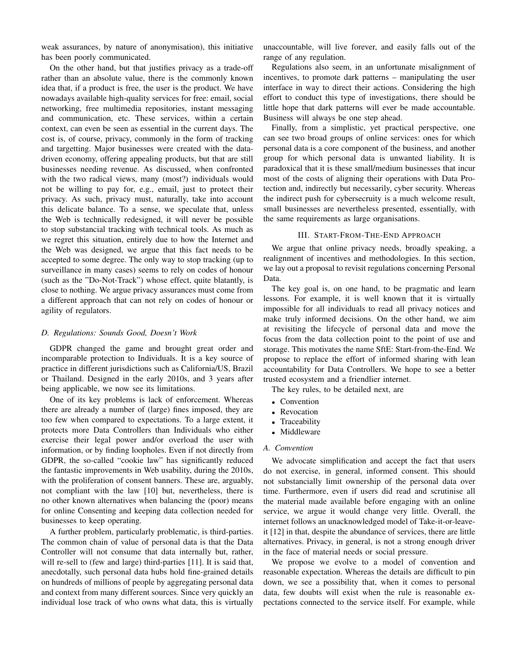weak assurances, by nature of anonymisation), this initiative has been poorly communicated.

On the other hand, but that justifies privacy as a trade-off rather than an absolute value, there is the commonly known idea that, if a product is free, the user is the product. We have nowadays available high-quality services for free: email, social networking, free multimedia repositories, instant messaging and communication, etc. These services, within a certain context, can even be seen as essential in the current days. The cost is, of course, privacy, commonly in the form of tracking and targetting. Major businesses were created with the datadriven economy, offering appealing products, but that are still businesses needing revenue. As discussed, when confronted with the two radical views, many (most?) individuals would not be willing to pay for, e.g., email, just to protect their privacy. As such, privacy must, naturally, take into account this delicate balance. To a sense, we speculate that, unless the Web is technically redesigned, it will never be possible to stop substancial tracking with technical tools. As much as we regret this situation, entirely due to how the Internet and the Web was designed, we argue that this fact needs to be accepted to some degree. The only way to stop tracking (up to surveillance in many cases) seems to rely on codes of honour (such as the "Do-Not-Track") whose effect, quite blatantly, is close to nothing. We argue privacy assurances must come from a different approach that can not rely on codes of honour or agility of regulators.

## *D. Regulations: Sounds Good, Doesn't Work*

GDPR changed the game and brought great order and incomparable protection to Individuals. It is a key source of practice in different jurisdictions such as California/US, Brazil or Thailand. Designed in the early 2010s, and 3 years after being applicable, we now see its limitations.

One of its key problems is lack of enforcement. Whereas there are already a number of (large) fines imposed, they are too few when compared to expectations. To a large extent, it protects more Data Controllers than Individuals who either exercise their legal power and/or overload the user with information, or by finding loopholes. Even if not directly from GDPR, the so-called "cookie law" has significantly reduced the fantastic improvements in Web usability, during the 2010s, with the proliferation of consent banners. These are, arguably, not compliant with the law [10] but, nevertheless, there is no other known alternatives when balancing the (poor) means for online Consenting and keeping data collection needed for businesses to keep operating.

A further problem, particularly problematic, is third-parties. The common chain of value of personal data is that the Data Controller will not consume that data internally but, rather, will re-sell to (few and large) third-parties [11]. It is said that, anecdotally, such personal data hubs hold fine-grained details on hundreds of millions of people by aggregating personal data and context from many different sources. Since very quickly an individual lose track of who owns what data, this is virtually unaccountable, will live forever, and easily falls out of the range of any regulation.

Regulations also seem, in an unfortunate misalignment of incentives, to promote dark patterns – manipulating the user interface in way to direct their actions. Considering the high effort to conduct this type of investigations, there should be little hope that dark patterns will ever be made accountable. Business will always be one step ahead.

Finally, from a simplistic, yet practical perspective, one can see two broad groups of online services: ones for which personal data is a core component of the business, and another group for which personal data is unwanted liability. It is paradoxical that it is these small/medium businesses that incur most of the costs of aligning their operations with Data Protection and, indirectly but necessarily, cyber security. Whereas the indirect push for cybersecruity is a much welcome result, small businesses are nevertheless presented, essentially, with the same requirements as large organisations.

## III. START-FROM-THE-END APPROACH

We argue that online privacy needs, broadly speaking, a realignment of incentives and methodologies. In this section, we lay out a proposal to revisit regulations concerning Personal Data.

The key goal is, on one hand, to be pragmatic and learn lessons. For example, it is well known that it is virtually impossible for all individuals to read all privacy notices and make truly informed decisions. On the other hand, we aim at revisiting the lifecycle of personal data and move the focus from the data collection point to the point of use and storage. This motivates the name SftE: Start-from-the-End. We propose to replace the effort of informed sharing with lean accountability for Data Controllers. We hope to see a better trusted ecosystem and a friendlier internet.

The key rules, to be detailed next, are

- Convention
- Revocation
- Traceability
- Middleware

#### *A. Convention*

We advocate simplification and accept the fact that users do not exercise, in general, informed consent. This should not substancially limit ownership of the personal data over time. Furthermore, even if users did read and scrutinise all the material made available before engaging with an online service, we argue it would change very little. Overall, the internet follows an unacknowledged model of Take-it-or-leaveit [12] in that, despite the abundance of services, there are little alternatives. Privacy, in general, is not a strong enough driver in the face of material needs or social pressure.

We propose we evolve to a model of convention and reasonable expectation. Whereas the details are difficult to pin down, we see a possibility that, when it comes to personal data, few doubts will exist when the rule is reasonable expectations connected to the service itself. For example, while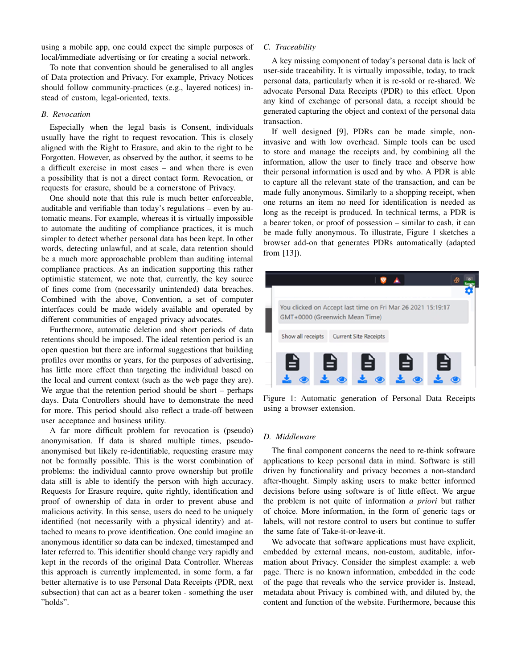using a mobile app, one could expect the simple purposes of local/immediate advertising or for creating a social network.

To note that convention should be generalised to all angles of Data protection and Privacy. For example, Privacy Notices should follow community-practices (e.g., layered notices) instead of custom, legal-oriented, texts.

#### *B. Revocation*

Especially when the legal basis is Consent, individuals usually have the right to request revocation. This is closely aligned with the Right to Erasure, and akin to the right to be Forgotten. However, as observed by the author, it seems to be a difficult exercise in most cases – and when there is even a possibility that is not a direct contact form. Revocation, or requests for erasure, should be a cornerstone of Privacy.

One should note that this rule is much better enforceable, auditable and verifiable than today's regulations – even by automatic means. For example, whereas it is virtually impossible to automate the auditing of compliance practices, it is much simpler to detect whether personal data has been kept. In other words, detecting unlawful, and at scale, data retention should be a much more approachable problem than auditing internal compliance practices. As an indication supporting this rather optimistic statement, we note that, currently, the key source of fines come from (necessarily unintended) data breaches. Combined with the above, Convention, a set of computer interfaces could be made widely available and operated by different communities of engaged privacy advocates.

Furthermore, automatic deletion and short periods of data retentions should be imposed. The ideal retention period is an open question but there are informal suggestions that building profiles over months or years, for the purposes of advertising, has little more effect than targeting the individual based on the local and current context (such as the web page they are). We argue that the retention period should be short – perhaps days. Data Controllers should have to demonstrate the need for more. This period should also reflect a trade-off between user acceptance and business utility.

A far more difficult problem for revocation is (pseudo) anonymisation. If data is shared multiple times, pseudoanonymised but likely re-identifiable, requesting erasure may not be formally possible. This is the worst combination of problems: the individual cannto prove ownership but profile data still is able to identify the person with high accuracy. Requests for Erasure require, quite rightly, identification and proof of ownership of data in order to prevent abuse and malicious activity. In this sense, users do need to be uniquely identified (not necessarily with a physical identity) and attached to means to prove identification. One could imagine an anonymous identifier so data can be indexed, timestamped and later referred to. This identifier should change very rapidly and kept in the records of the original Data Controller. Whereas this approach is currently implemented, in some form, a far better alternative is to use Personal Data Receipts (PDR, next subsection) that can act as a bearer token - something the user "holds".

## *C. Traceability*

A key missing component of today's personal data is lack of user-side traceability. It is virtually impossible, today, to track personal data, particularly when it is re-sold or re-shared. We advocate Personal Data Receipts (PDR) to this effect. Upon any kind of exchange of personal data, a receipt should be generated capturing the object and context of the personal data transaction.

If well designed [9], PDRs can be made simple, noninvasive and with low overhead. Simple tools can be used to store and manage the receipts and, by combining all the information, allow the user to finely trace and observe how their personal information is used and by who. A PDR is able to capture all the relevant state of the transaction, and can be made fully anonymous. Similarly to a shopping receipt, when one returns an item no need for identification is needed as long as the receipt is produced. In technical terms, a PDR is a bearer token, or proof of possession – similar to cash, it can be made fully anonymous. To illustrate, Figure 1 sketches a browser add-on that generates PDRs automatically (adapted from [13]).



Figure 1: Automatic generation of Personal Data Receipts using a browser extension.

# *D. Middleware*

The final component concerns the need to re-think software applications to keep personal data in mind. Software is still driven by functionality and privacy becomes a non-standard after-thought. Simply asking users to make better informed decisions before using software is of little effect. We argue the problem is not quite of information *a priori* but rather of choice. More information, in the form of generic tags or labels, will not restore control to users but continue to suffer the same fate of Take-it-or-leave-it.

We advocate that software applications must have explicit, embedded by external means, non-custom, auditable, information about Privacy. Consider the simplest example: a web page. There is no known information, embedded in the code of the page that reveals who the service provider is. Instead, metadata about Privacy is combined with, and diluted by, the content and function of the website. Furthermore, because this